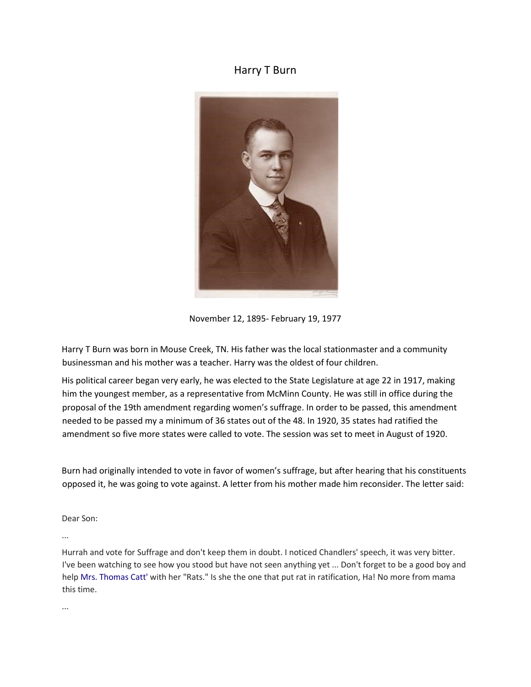## Harry T Burn



November 12, 1895- February 19, 1977

Harry T Burn was born in Mouse Creek, TN. His father was the local stationmaster and a community businessman and his mother was a teacher. Harry was the oldest of four children.

His political career began very early, he was elected to the State Legislature at age 22 in 1917, making him the youngest member, as a representative from McMinn County. He was still in office during the proposal of the 19th amendment regarding women's suffrage. In order to be passed, this amendment needed to be passed my a minimum of 36 states out of the 48. In 1920, 35 states had ratified the amendment so five more states were called to vote. The session was set to meet in August of 1920.

Burn had originally intended to vote in favor of women's suffrage, but after hearing that his constituents opposed it, he was going to vote against. A letter from his mother made him reconsider. The letter said:

Dear Son:

...

Hurrah and vote for Suffrage and don't keep them in doubt. I noticed Chandlers' speech, it was very bitter. I've been watching to see how you stood but have not seen anything yet ... Don't forget to be a good boy and help [Mrs. Thomas Catt'](https://en.wikipedia.org/wiki/Carrie_Chapman_Catt) with her "Rats." Is she the one that put rat in ratification, Ha! No more from mama this time.

...